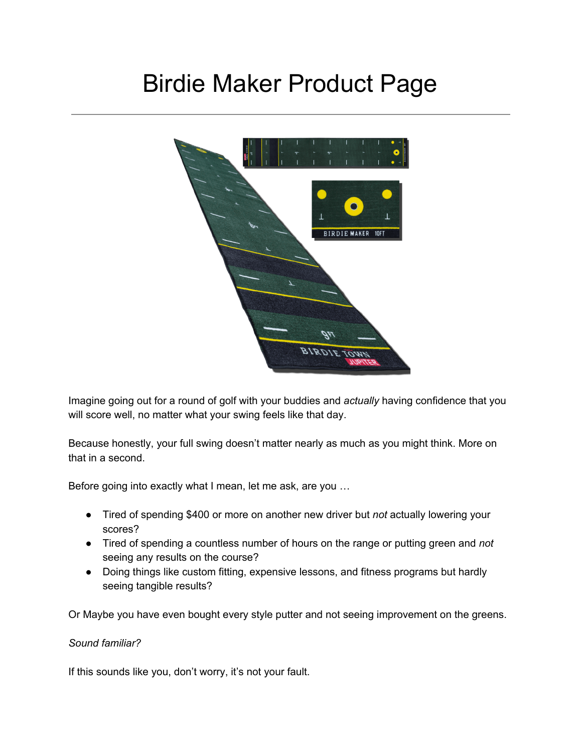# Birdie Maker Product Page



Imagine going out for a round of golf with your buddies and *actually* having confidence that you will score well, no matter what your swing feels like that day.

Because honestly, your full swing doesn't matter nearly as much as you might think. More on that in a second.

Before going into exactly what I mean, let me ask, are you …

- Tired of spending \$400 or more on another new driver but *not* actually lowering your scores?
- Tired of spending a countless number of hours on the range or putting green and *not* seeing any results on the course?
- Doing things like custom fitting, expensive lessons, and fitness programs but hardly seeing tangible results?

Or Maybe you have even bought every style putter and not seeing improvement on the greens.

#### *Sound familiar?*

If this sounds like you, don't worry, it's not your fault.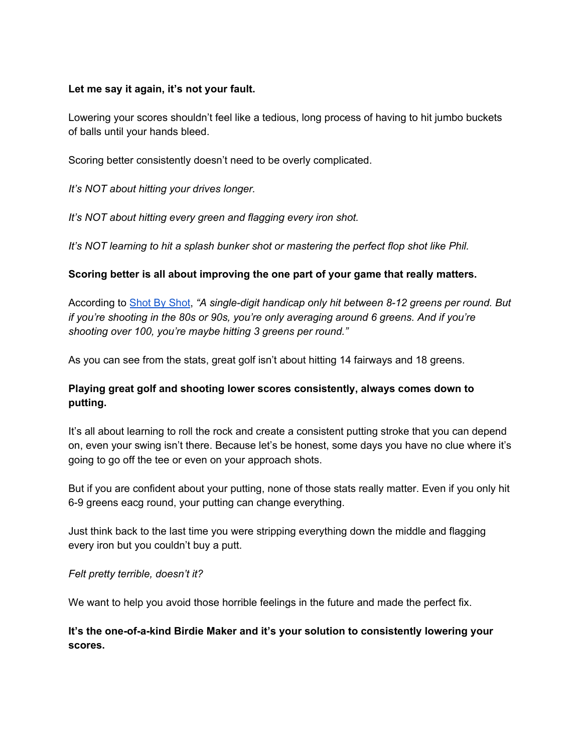### **Let me say it again, it's not your fault.**

Lowering your scores shouldn't feel like a tedious, long process of having to hit jumbo buckets of balls until your hands bleed.

Scoring better consistently doesn't need to be overly complicated.

*It's NOT about hitting your drives longer.*

*It's NOT about hitting every green and flagging every iron shot.*

*It's NOT learning to hit a splash bunker shot or mastering the perfect flop shot like Phil.*

### **Scoring better is all about improving the one part of your game that really matters.**

According to [Shot](https://www.golfmagic.com/golf-news/how-many-greens-regulation-should-you-be-hitting-based-your-handicap) By Shot, *"A single-digit handicap only hit between 8-12 greens per round. But if you're shooting in the 80s or 90s, you're only averaging around 6 greens. And if you're shooting over 100, you're maybe hitting 3 greens per round."*

As you can see from the stats, great golf isn't about hitting 14 fairways and 18 greens.

## **Playing great golf and shooting lower scores consistently, always comes down to putting.**

It's all about learning to roll the rock and create a consistent putting stroke that you can depend on, even your swing isn't there. Because let's be honest, some days you have no clue where it's going to go off the tee or even on your approach shots.

But if you are confident about your putting, none of those stats really matter. Even if you only hit 6-9 greens eacg round, your putting can change everything.

Just think back to the last time you were stripping everything down the middle and flagging every iron but you couldn't buy a putt.

#### *Felt pretty terrible, doesn't it?*

We want to help you avoid those horrible feelings in the future and made the perfect fix.

## **It's the one-of-a-kind Birdie Maker and it's your solution to consistently lowering your scores.**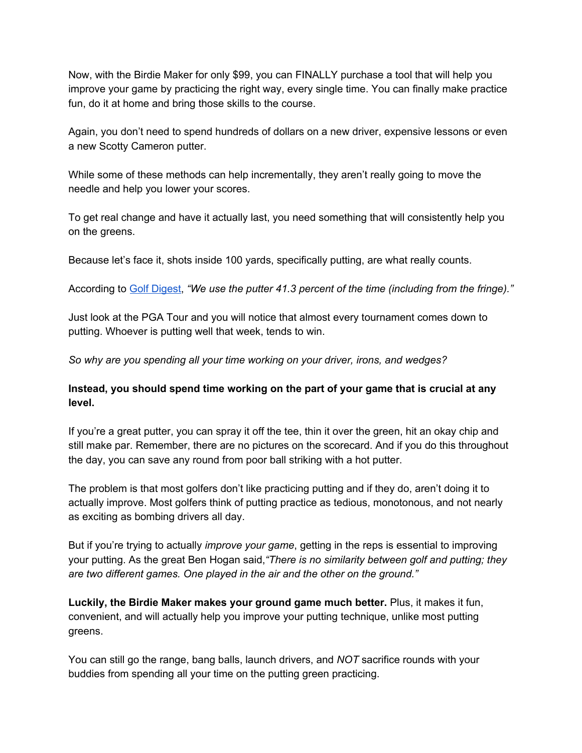Now, with the Birdie Maker for only \$99, you can FINALLY purchase a tool that will help you improve your game by practicing the right way, every single time. You can finally make practice fun, do it at home and bring those skills to the course.

Again, you don't need to spend hundreds of dollars on a new driver, expensive lessons or even a new Scotty Cameron putter.

While some of these methods can help incrementally, they aren't really going to move the needle and help you lower your scores.

To get real change and have it actually last, you need something that will consistently help you on the greens.

Because let's face it, shots inside 100 yards, specifically putting, are what really counts.

According to Golf [Digest](https://www.golfdigest.com/story/how-many-putts-does-the-average-golfer-make-new-data-shows-you-need-more-time-on-the-practice-greenand-the-range), *"We use the putter 41.3 percent of the time (including from the fringe)."*

Just look at the PGA Tour and you will notice that almost every tournament comes down to putting. Whoever is putting well that week, tends to win.

*So why are you spending all your time working on your driver, irons, and wedges?*

## **Instead, you should spend time working on the part of your game that is crucial at any level.**

If you're a great putter, you can spray it off the tee, thin it over the green, hit an okay chip and still make par. Remember, there are no pictures on the scorecard. And if you do this throughout the day, you can save any round from poor ball striking with a hot putter.

The problem is that most golfers don't like practicing putting and if they do, aren't doing it to actually improve. Most golfers think of putting practice as tedious, monotonous, and not nearly as exciting as bombing drivers all day.

But if you're trying to actually *improve your game*, getting in the reps is essential to improving your putting. As the great Ben Hogan said,*"There is no similarity between golf and putting; they are two different games. One played in the air and the other on the ground."*

**Luckily, the Birdie Maker makes your ground game much better.** Plus, it makes it fun, convenient, and will actually help you improve your putting technique, unlike most putting greens.

You can still go the range, bang balls, launch drivers, and *NOT* sacrifice rounds with your buddies from spending all your time on the putting green practicing.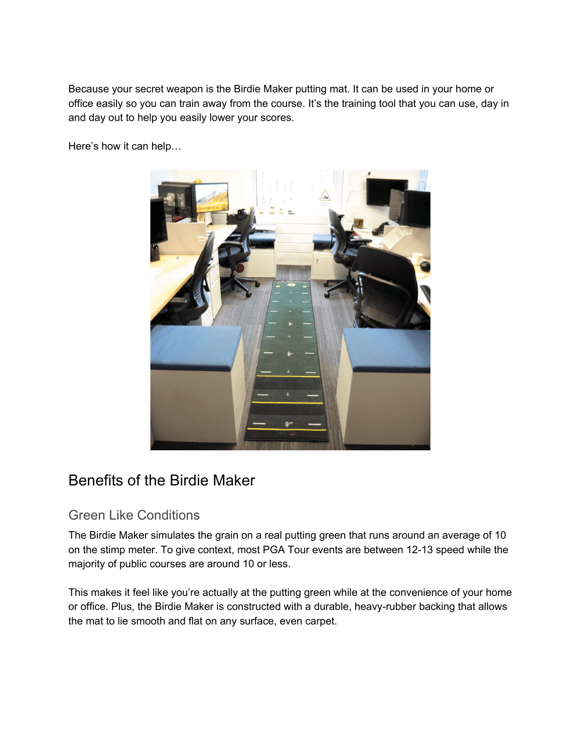Because your secret weapon is the Birdie Maker putting mat. It can be used in your home or office easily so you can train away from the course. It's the training tool that you can use, day in and day out to help you easily lower your scores.

Here's how it can help…



# Benefits of the Birdie Maker

# Green Like Conditions

The Birdie Maker simulates the grain on a real putting green that runs around an average of 10 on the stimp meter. To give context, most PGA Tour events are between 12-13 speed while the majority of public courses are around 10 or less.

This makes it feel like you're actually at the putting green while at the convenience of your home or office. Plus, the Birdie Maker is constructed with a durable, heavy-rubber backing that allows the mat to lie smooth and flat on any surface, even carpet.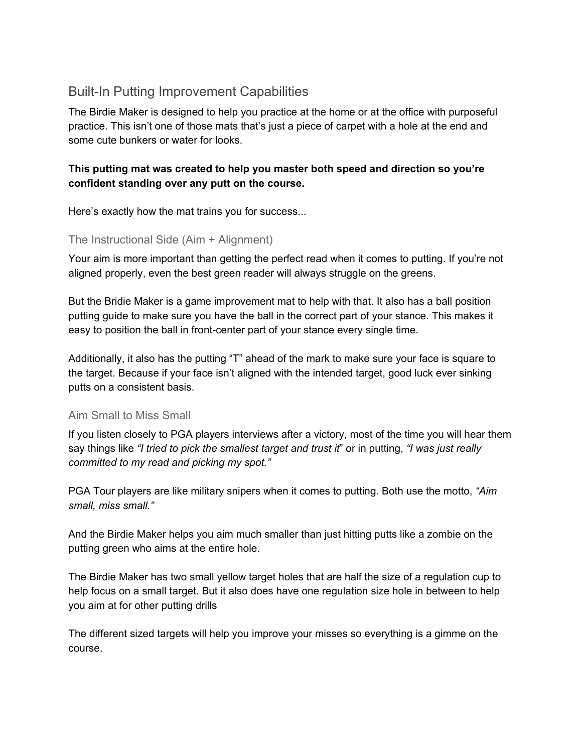# Built-In Putting Improvement Capabilities

The Birdie Maker is designed to help you practice at the home or at the office with purposeful practice. This isn't one of those mats that's just a piece of carpet with a hole at the end and some cute bunkers or water for looks.

# **This putting mat was created to help you master both speed and direction so you're confident standing over any putt on the course.**

Here's exactly how the mat trains you for success...

### The Instructional Side (Aim + Alignment)

Your aim is more important than getting the perfect read when it comes to putting. If you're not aligned properly, even the best green reader will always struggle on the greens.

But the Bridie Maker is a game improvement mat to help with that. It also has a ball position putting guide to make sure you have the ball in the correct part of your stance. This makes it easy to position the ball in front-center part of your stance every single time.

Additionally, it also has the putting "T" ahead of the mark to make sure your face is square to the target. Because if your face isn't aligned with the intended target, good luck ever sinking putts on a consistent basis.

## Aim Small to Miss Small

If you listen closely to PGA players interviews after a victory, most of the time you will hear them say things like *"I tried to pick the smallest target and trust it*" or in putting, *"I was just really committed to my read and picking my spot."*

PGA Tour players are like military snipers when it comes to putting. Both use the motto, *"Aim small, miss small."*

And the Birdie Maker helps you aim much smaller than just hitting putts like a zombie on the putting green who aims at the entire hole.

The Birdie Maker has two small yellow target holes that are half the size of a regulation cup to help focus on a small target. But it also does have one regulation size hole in between to help you aim at for other putting drills

The different sized targets will help you improve your misses so everything is a gimme on the course.